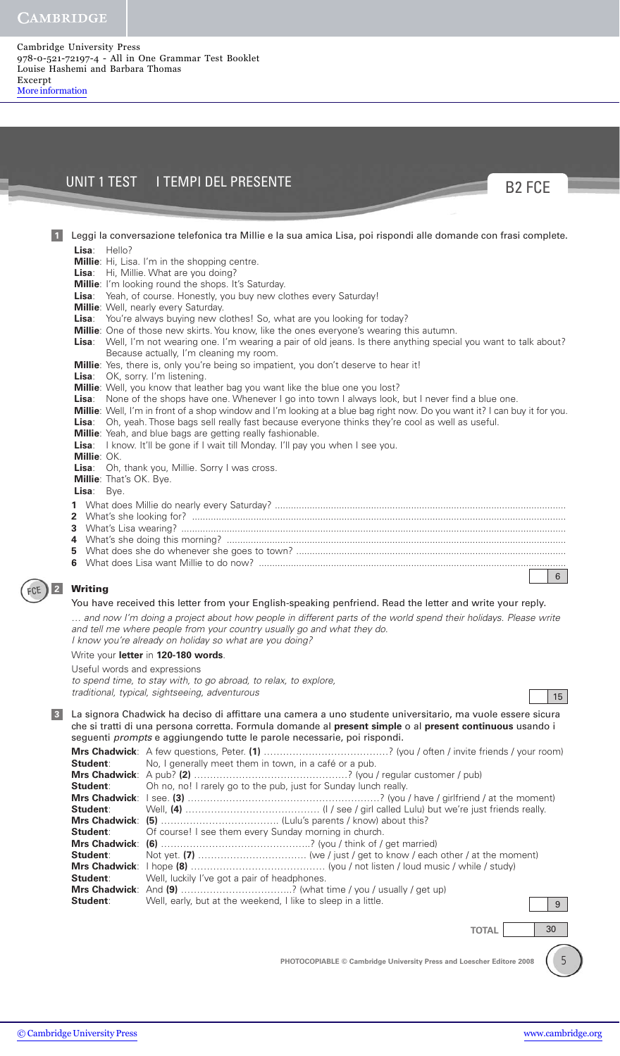Cambridge University Press 978-0-521-72197-4 - All in One Grammar Test Booklet Louise Hashemi and Barbara Thomas Excerpt [More information](http://www.cambridge.org/9780521721974)

## UNIT 1 TEST I TEMPI DEL PRESENTE



| $\vert$ 1 | Leggi la conversazione telefonica tra Millie e la sua amica Lisa, poi rispondi alle domande con frasi complete.                                                                                                                     |
|-----------|-------------------------------------------------------------------------------------------------------------------------------------------------------------------------------------------------------------------------------------|
|           | Lisa: Hello?                                                                                                                                                                                                                        |
|           | Millie: Hi, Lisa. I'm in the shopping centre.                                                                                                                                                                                       |
|           | Lisa: Hi, Millie. What are you doing?                                                                                                                                                                                               |
|           | Millie: I'm looking round the shops. It's Saturday.                                                                                                                                                                                 |
|           | Lisa: Yeah, of course. Honestly, you buy new clothes every Saturday!                                                                                                                                                                |
|           | Millie: Well, nearly every Saturday.                                                                                                                                                                                                |
|           | Lisa: You're always buying new clothes! So, what are you looking for today?                                                                                                                                                         |
|           | Millie: One of those new skirts. You know, like the ones everyone's wearing this autumn.                                                                                                                                            |
|           | Lisa: Well, I'm not wearing one. I'm wearing a pair of old jeans. Is there anything special you want to talk about?                                                                                                                 |
|           | Because actually, I'm cleaning my room.                                                                                                                                                                                             |
|           | Millie: Yes, there is, only you're being so impatient, you don't deserve to hear it!                                                                                                                                                |
|           | Lisa: OK, sorry. I'm listening.                                                                                                                                                                                                     |
|           | Millie: Well, you know that leather bag you want like the blue one you lost?                                                                                                                                                        |
|           | Lisa: None of the shops have one. Whenever I go into town I always look, but I never find a blue one.<br>Millie: Well, I'm in front of a shop window and I'm looking at a blue bag right now. Do you want it? I can buy it for you. |
|           | Lisa: Oh, yeah. Those bags sell really fast because everyone thinks they're cool as well as useful.                                                                                                                                 |
|           | Millie: Yeah, and blue bags are getting really fashionable.                                                                                                                                                                         |
|           | Lisa: I know. It'll be gone if I wait till Monday. I'll pay you when I see you.                                                                                                                                                     |
|           | Millie: OK.                                                                                                                                                                                                                         |
|           | Lisa: Oh, thank you, Millie. Sorry I was cross.                                                                                                                                                                                     |
|           | Millie: That's OK. Bye.                                                                                                                                                                                                             |
|           | Lisa: Bye.                                                                                                                                                                                                                          |
|           |                                                                                                                                                                                                                                     |
|           |                                                                                                                                                                                                                                     |
|           |                                                                                                                                                                                                                                     |
|           |                                                                                                                                                                                                                                     |
|           |                                                                                                                                                                                                                                     |
|           |                                                                                                                                                                                                                                     |
|           | 6                                                                                                                                                                                                                                   |
| 2         | <b>Writing</b>                                                                                                                                                                                                                      |
|           | You have received this letter from your English-speaking penfriend. Read the letter and write your reply.                                                                                                                           |
|           | and now I'm doing a project about how people in different parts of the world spend their holidays. Please write                                                                                                                     |
|           | and tell me where people from your country usually go and what they do.                                                                                                                                                             |
|           | I know you're already on holiday so what are you doing?                                                                                                                                                                             |
|           | Write your letter in 120-180 words.                                                                                                                                                                                                 |
|           |                                                                                                                                                                                                                                     |
|           | Useful words and expressions                                                                                                                                                                                                        |
|           | to spend time, to stay with, to go abroad, to relax, to explore,                                                                                                                                                                    |
|           | traditional, typical, sightseeing, adventurous<br>15 <sup>1</sup>                                                                                                                                                                   |
| 3         | La signora Chadwick ha deciso di affittare una camera a uno studente universitario, ma vuole essere sicura                                                                                                                          |
|           | che si tratti di una persona corretta. Formula domande al present simple o al present continuous usando i                                                                                                                           |
|           | seguenti prompts e aggiungendo tutte le parole necessarie, poi rispondi.                                                                                                                                                            |
|           | Mus Charlester A four quantional Datax (1)                                                                                                                                                                                          |

**Mrs Chadwick**: A few questions, Peter. (1) ………………………………………? (you / often / invite friends / your room)<br>**Student**: No, I generally meet them in town, in a café or a pub. No, I generally meet them in town, in a café or a pub. **Mrs Chadwick**: A pub? **(2)** …………………………………………? (you / regular customer / pub) **Student**: Oh no, no! I rarely go to the pub, just for Sunday lunch really. **Mrs Chadwick**: I see. **(3)** ……………………………………………………? (you / have / girlfriend / at the moment) **Student**: Well, **(4)** …………………………………… (I / see / girl called Lulu) but we're just friends really. **Mrs Chadwick**: **(5)** ………………………………. (Lulu's parents / know) about this? **Student:** Of course! I see them every Sunday morning in church. **Mrs Chadwick**: **(6)** ………………………………………..? (you / think of / get married) **Student**: Not yet. **(7)** ……………………………. (we / just / get to know / each other / at the moment) **Mrs Chadwick**: I hope **(8)** …………………………………… (you / not listen / loud music / while / study) **Student**: Well, luckily I've got a pair of headphones. **Mrs Chadwick**: And (9) ……………………………………? (what time / you / usually / get up) **Student**: Well, early, but at the weekend, I like to sleep in a little. Well, early, but at the weekend, I like to sleep in a little. 9

**TOTAL** 30

5

**PHOTOCOPIABLE © Cambridge University Press and Loescher Editore 2008**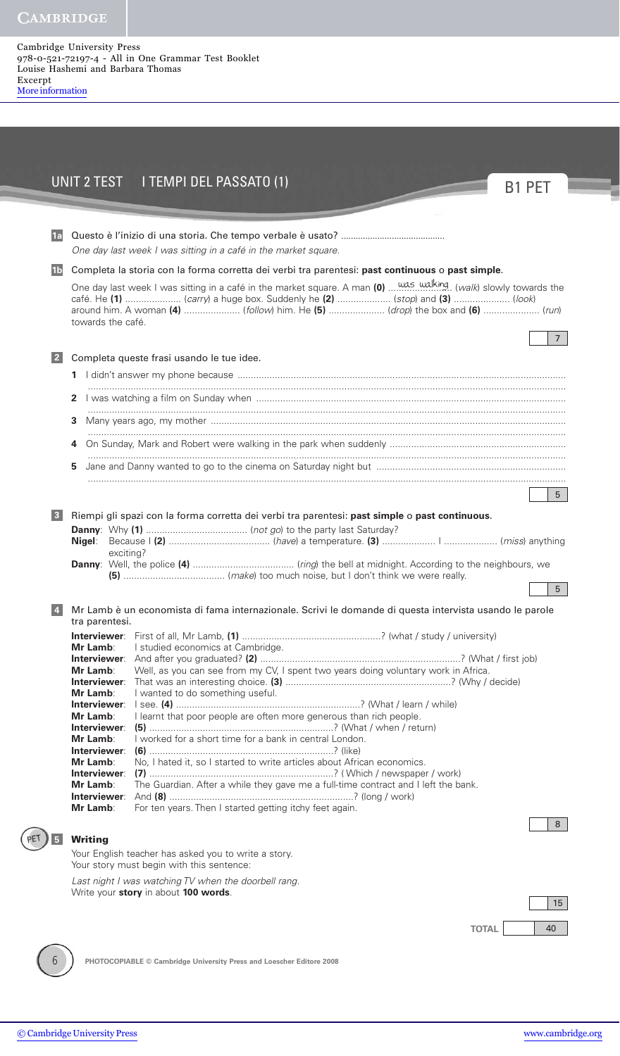Cambridge University Press 978-0-521-72197-4 - All in One Grammar Test Booklet Louise Hashemi and Barbara Thomas Excerpt [More information](http://www.cambridge.org/9780521721974)

|                         | UNIT 2 TEST I TEMPI DEL PASSATO (1)                                                                                                                                            | <b>B1 PFT</b> |
|-------------------------|--------------------------------------------------------------------------------------------------------------------------------------------------------------------------------|---------------|
|                         |                                                                                                                                                                                |               |
| 1a                      | One day last week I was sitting in a café in the market square.                                                                                                                |               |
| 1 <sub>b</sub>          | Completa la storia con la forma corretta dei verbi tra parentesi: past continuous o past simple.                                                                               |               |
|                         | café. He (1)  (carry) a huge box. Suddenly he (2)  (stop) and (3)  (look)<br>around him. A woman (4)  (follow) him. He (5)  (drop) the box and (6)  (run)<br>towards the café. |               |
|                         |                                                                                                                                                                                |               |
| 2                       | Completa queste frasi usando le tue idee.                                                                                                                                      |               |
|                         |                                                                                                                                                                                |               |
| $\mathbf{z}$            |                                                                                                                                                                                |               |
| 3                       |                                                                                                                                                                                |               |
|                         |                                                                                                                                                                                |               |
| 5                       |                                                                                                                                                                                |               |
|                         |                                                                                                                                                                                |               |
|                         |                                                                                                                                                                                |               |
| $\overline{\mathbf{3}}$ | Riempi gli spazi con la forma corretta dei verbi tra parentesi: past simple o past continuous.<br>exciting?                                                                    |               |
|                         |                                                                                                                                                                                |               |
|                         | Mr Lamb è un economista di fama internazionale. Scrivi le domande di questa intervista usando le parole                                                                        |               |
|                         | tra parentesi.                                                                                                                                                                 |               |
| Mr Lamb:                | I studied economics at Cambridge.                                                                                                                                              |               |
| Mr Lamb:                | Well, as you can see from my CV, I spent two years doing voluntary work in Africa.                                                                                             |               |
| Mr Lamb:                | Interviewer:<br>I wanted to do something useful.                                                                                                                               |               |
| Mr Lamb:                | Interviewer∶<br>I learnt that poor people are often more generous than rich people.                                                                                            |               |
|                         | Interviewer:                                                                                                                                                                   |               |
| Mr Lamb:                | I worked for a short time for a bank in central London.<br>Interviewer:                                                                                                        |               |
| Mr Lamb:                | No, I hated it, so I started to write articles about African economics.<br>Interviewer:                                                                                        |               |
| Mr Lamb:                | The Guardian. After a while they gave me a full-time contract and I left the bank.                                                                                             |               |
| Mr Lamb:                | For ten years. Then I started getting itchy feet again.                                                                                                                        |               |
|                         |                                                                                                                                                                                |               |
| <b>Writing</b>          |                                                                                                                                                                                |               |
|                         | Your English teacher has asked you to write a story.<br>Your story must begin with this sentence:                                                                              |               |
|                         | Last night I was watching TV when the doorbell rang.                                                                                                                           |               |
|                         | Write your story in about 100 words.                                                                                                                                           |               |

**PHOTOCOPIABLE © Cambridge University Press and Loescher Editore 2008**

6)

÷, ۰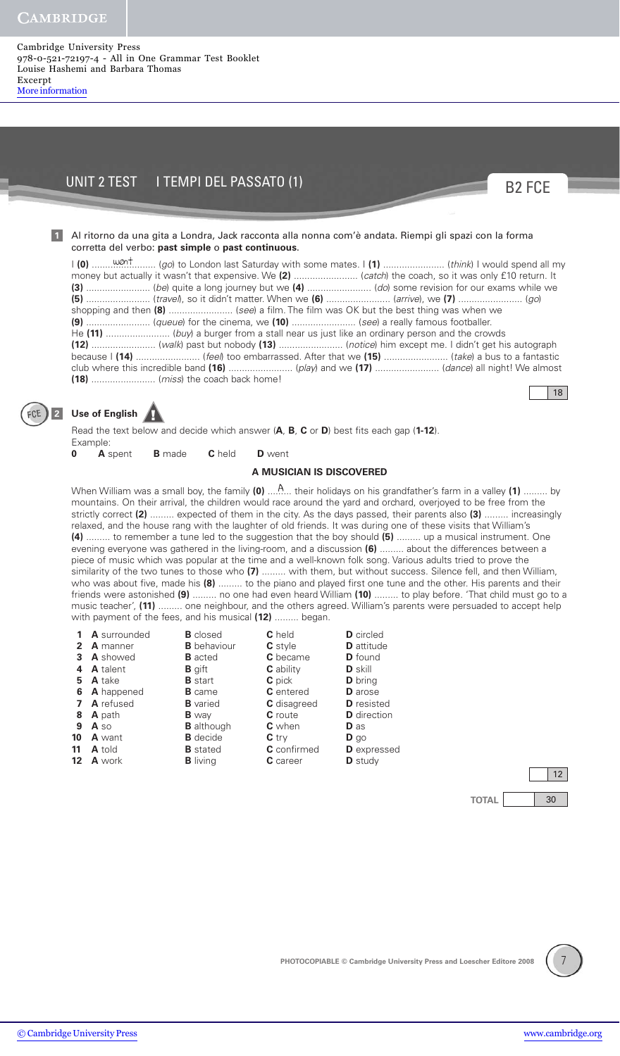#### Cambridge University Press 978-0-521-72197-4 - All in One Grammar Test Booklet Louise Hashemi and Barbara Thomas Excerpt [More information](http://www.cambridge.org/9780521721974)

# UNIT 2 TEST I TEMPI DEL PASSATO (1)

### Al ritorno da una gita a Londra, Jack racconta alla nonna com'è andata. Riempi gli spazi con la forma corretta del verbo: **past simple** o **past continuous**.

went I **(0)** ........................ (go) to London last Saturday with some mates. I **(1)** ....................... (think) I would spend all my money but actually it wasn't that expensive. We **(2)** ........................ (catch) the coach, so it was only £10 return. It **(3)** ........................ (be) quite a long journey but we **(4)** ........................ (do) some revision for our exams while we **(5)** ........................ (travel), so it didn't matter. When we **(6)** ........................ (arrive), we **(7)** ........................ (go) shopping and then **(8)** ........................ (see) a film. The film was OK but the best thing was when we **(9)** ........................ (queue) for the cinema, we **(10)** ........................ (see) a really famous footballer. He **(11)** ........................ (buy) a burger from a stall near us just like an ordinary person and the crowds **(12)** ........................ (walk) past but nobody **(13)** ........................ (notice) him except me. I didn't get his autograph because I **(14)** ........................ (feel) too embarrassed. After that we **(15)** ........................ (take) a bus to a fantastic club where this incredible band **(16)** ........................ (play) and we **(17)** ........................ (dance) all night! We almost **(18)** ........................ (miss) the coach back home!

18

B2 FCE



**1**

# **Use of English** ! **<sup>2</sup>**

Read the text below and decide which answer (**A**, **B**, **C** or **D**) best fits each gap (**1-12**). Example:

**0 A** spent **B** made **C** held **D** went

### **A MUSICIAN IS DISCOVERED**

When William was a small boy, the family (0) ....<sup>A</sup> but their holidays on his grandfather's farm in a valley (1) ......... by mountains. On their arrival, the children would race around the yard and orchard, overjoyed to be free from the strictly correct **(2)** ......... expected of them in the city. As the days passed, their parents also **(3)** ......... increasingly relaxed, and the house rang with the laughter of old friends. It was during one of these visits that William's **(4)** ......... to remember a tune led to the suggestion that the boy should **(5)** ......... up a musical instrument. One evening everyone was gathered in the living-room, and a discussion **(6)** ......... about the differences between a piece of music which was popular at the time and a well-known folk song. Various adults tried to prove the similarity of the two tunes to those who **(7)** ......... with them, but without success. Silence fell, and then William, who was about five, made his **(8)** ......... to the piano and played first one tune and the other. His parents and their friends were astonished **(9)** ......... no one had even heard William **(10)** ......... to play before. 'That child must go to a music teacher', **(11)** ......... one neighbour, and the others agreed. William's parents were persuaded to accept help with payment of the fees, and his musical **(12)** ......... began.

|              | A surrounded     | <b>B</b> closed    | <b>C</b> held      | <b>D</b> circled   |
|--------------|------------------|--------------------|--------------------|--------------------|
| $\mathbf{2}$ | <b>A</b> manner  | <b>B</b> behaviour | <b>C</b> style     | <b>D</b> attitude  |
| 3.           | <b>A</b> showed  | <b>B</b> acted     | <b>C</b> became    | <b>D</b> found     |
| 4            | <b>A</b> talent  | <b>B</b> gift      | <b>C</b> ability   | <b>D</b> skill     |
| 5.           | <b>A</b> take    | <b>B</b> start     | <b>C</b> pick      | <b>D</b> bring     |
| 6            | A happened       | <b>B</b> came      | <b>C</b> entered   | <b>D</b> arose     |
|              | <b>A</b> refused | <b>B</b> varied    | <b>C</b> disagreed | <b>D</b> resisted  |
| 8            | <b>A</b> path    | <b>B</b> way       | <b>C</b> route     | <b>D</b> direction |
| 9            | A so             | <b>B</b> although  | <b>C</b> when      | <b>D</b> as        |
| 10           | <b>A</b> want    | <b>B</b> decide    | $C$ try            | $\mathbf{D}$ go    |
| 11           | <b>A</b> told    | <b>B</b> stated    | <b>C</b> confirmed | <b>D</b> expressed |
| $12 \,$      | <b>A</b> work    | <b>B</b> living    | C career           | <b>D</b> study     |

**TOTAL** 30 12



[© Cambridge University Press](http://www.cambridge.org) [www.cambridge.org](http://www.cambridge.org)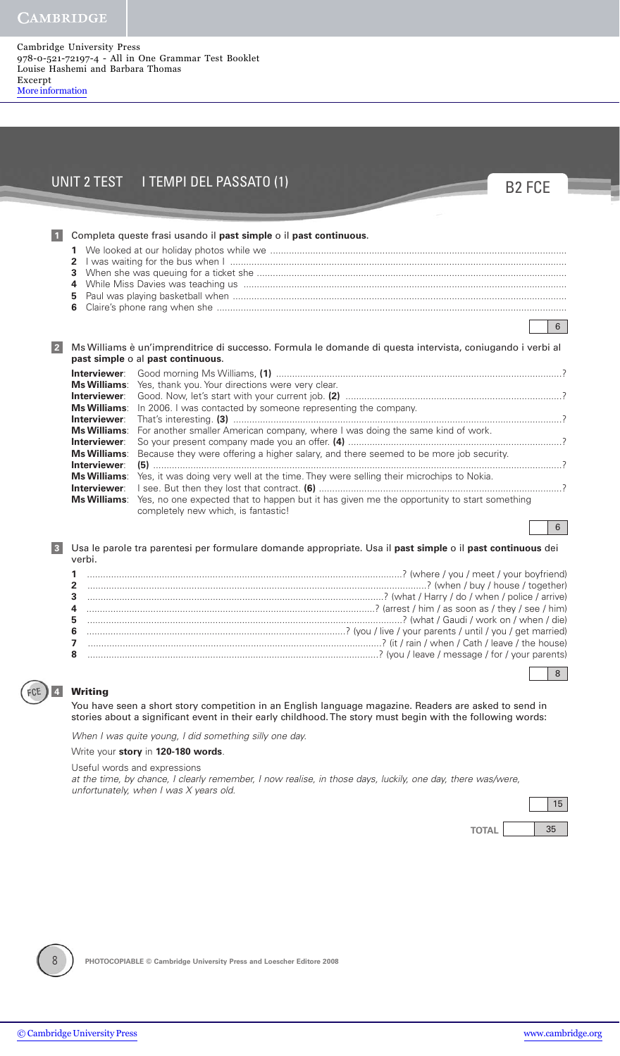Cambridge University Press 978-0-521-72197-4 - All in One Grammar Test Booklet Louise Hashemi and Barbara Thomas Excerpt [More information](http://www.cambridge.org/9780521721974)

# UNIT 2 TEST I TEMPI DEL PASSATO (1)

B2 FCE

|                | 1<br>$\mathbf{2}$<br>3<br>4<br>5<br>6                                                                                                                                                                                  | Completa queste frasi usando il past simple o il past continuous.                                                                                                                                                                                                                                                                                                                                                                                                                                                                                                                                                                                                                          | 6 |
|----------------|------------------------------------------------------------------------------------------------------------------------------------------------------------------------------------------------------------------------|--------------------------------------------------------------------------------------------------------------------------------------------------------------------------------------------------------------------------------------------------------------------------------------------------------------------------------------------------------------------------------------------------------------------------------------------------------------------------------------------------------------------------------------------------------------------------------------------------------------------------------------------------------------------------------------------|---|
| 2 <sup>2</sup> | Interviewer:<br><b>Interviewer:</b><br><b>Ms Williams:</b><br>Interviewer:<br><b>Ms Williams:</b><br>Interviewer:<br><b>Ms Williams:</b><br>Interviewer:<br><b>Ms Williams:</b><br>Interviewer:<br><b>Ms Williams:</b> | Ms Williams è un'imprenditrice di successo. Formula le domande di questa intervista, coniugando i verbi al<br>past simple o al past continuous.<br>Ms Williams: Yes, thank you. Your directions were very clear.<br>In 2006. I was contacted by someone representing the company.<br>For another smaller American company, where I was doing the same kind of work.<br>Because they were offering a higher salary, and there seemed to be more job security.<br>Yes, it was doing very well at the time. They were selling their microchips to Nokia.<br>Yes, no one expected that to happen but it has given me the opportunity to start something<br>completely new which, is fantastic! |   |
|                |                                                                                                                                                                                                                        |                                                                                                                                                                                                                                                                                                                                                                                                                                                                                                                                                                                                                                                                                            | 6 |

Usa le parole tra parentesi per formulare domande appropriate. Usa il **past simple** o il **past continuous** dei verbi.

## **Writing**

**4**

FCE

**3**

You have seen a short story competition in an English language magazine. Readers are asked to send in stories about a significant event in their early childhood. The story must begin with the following words:

When I was quite young, I did something silly one day.

Write your **story** in **120-180 words**.

Useful words and expressions

at the time, by chance, I clearly remember, I now realise, in those days, luckily, one day, there was/were, unfortunately, when I was X years old.



8



**PHOTOCOPIABLE © Cambridge University Press and Loescher Editore 2008**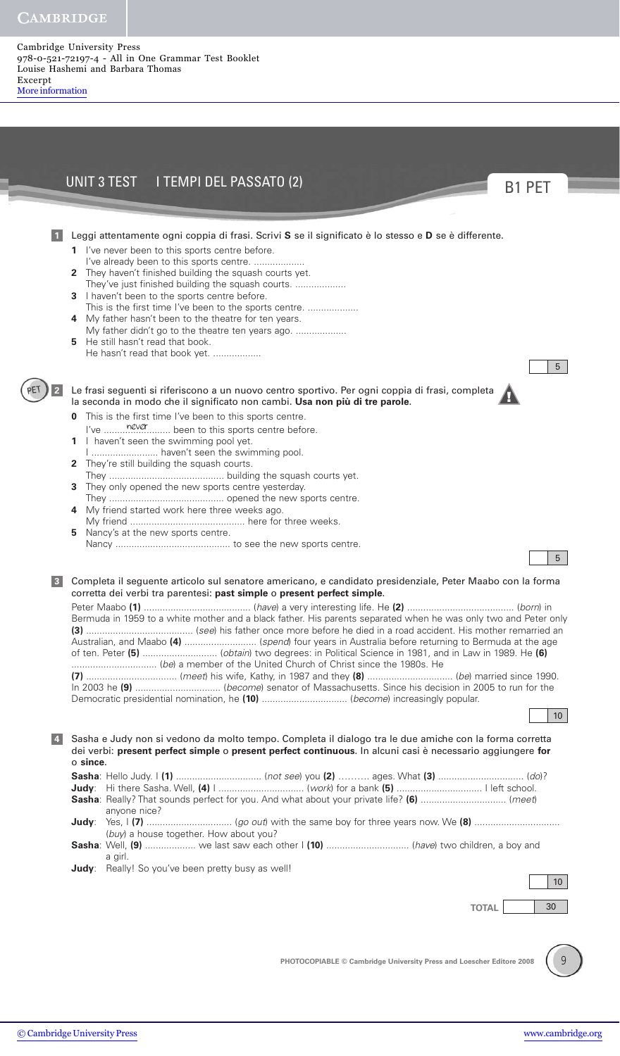PET

Cambridge University Press 978-0-521-72197-4 - All in One Grammar Test Booklet Louise Hashemi and Barbara Thomas Excerpt [More information](http://www.cambridge.org/9780521721974)

|                 | UNIT 3 TEST I TEMPI DEL PASSATO (2)                                                                                                                                                                                                                                                                                                                                                                                                                                                                                                                                                                                       | <b>B1 PET</b>         |
|-----------------|---------------------------------------------------------------------------------------------------------------------------------------------------------------------------------------------------------------------------------------------------------------------------------------------------------------------------------------------------------------------------------------------------------------------------------------------------------------------------------------------------------------------------------------------------------------------------------------------------------------------------|-----------------------|
|                 |                                                                                                                                                                                                                                                                                                                                                                                                                                                                                                                                                                                                                           |                       |
|                 | Leggi attentamente ogni coppia di frasi. Scrivi S se il significato è lo stesso e D se è differente.<br>1 I've never been to this sports centre before.<br>I've already been to this sports centre.<br>2 They haven't finished building the squash courts yet.<br>They've just finished building the squash courts.<br>3 I haven't been to the sports centre before.<br>This is the first time I've been to the sports centre.<br>My father hasn't been to the theatre for ten years.<br>4<br>My father didn't go to the theatre ten years ago.<br>He still hasn't read that book.<br>5.<br>He hasn't read that book yet. | 5                     |
| $\vert$ 2       | Le frasi seguenti si riferiscono a un nuovo centro sportivo. Per ogni coppia di frasi, completa<br>la seconda in modo che il significato non cambi. Usa non più di tre parole.<br>This is the first time I've been to this sports centre.<br>I haven't seen the swimming pool yet.<br>1.<br>I  haven't seen the swimming pool.<br>They're still building the squash courts.<br>$\mathbf{2}$<br>They only opened the new sports centre yesterday.<br>3.<br>4 My friend started work here three weeks ago.<br>Nancy's at the new sports centre.<br>5                                                                        | 5                     |
| $\mathbf{3}$    | Completa il seguente articolo sul senatore americano, e candidato presidenziale, Peter Maabo con la forma<br>corretta dei verbi tra parentesi: past simple o present perfect simple.<br>Bermuda in 1959 to a white mother and a black father. His parents separated when he was only two and Peter only<br>Australian, and Maabo (4)  (spend) four years in Australia before returning to Bermuda at the age                                                                                                                                                                                                              | 10 <sup>°</sup>       |
| $\vert 4 \vert$ | Sasha e Judy non si vedono da molto tempo. Completa il dialogo tra le due amiche con la forma corretta<br>dei verbi: present perfect simple o present perfect continuous. In alcuni casi è necessario aggiungere for<br>o since.<br>anyone nice?<br>(buy) a house together. How about you?<br>Sasha: Well, (9)  we last saw each other I (10)  (have) two children, a boy and<br>a girl.<br><b>Judy</b> : Really! So you've been pretty busy as well!<br><b>TOTAL</b>                                                                                                                                                     | 10 <sup>°</sup><br>30 |
|                 | PHOTOCOPIABLE © Cambridge University Press and Loescher Editore 2008                                                                                                                                                                                                                                                                                                                                                                                                                                                                                                                                                      | $\mathsf{Q}$          |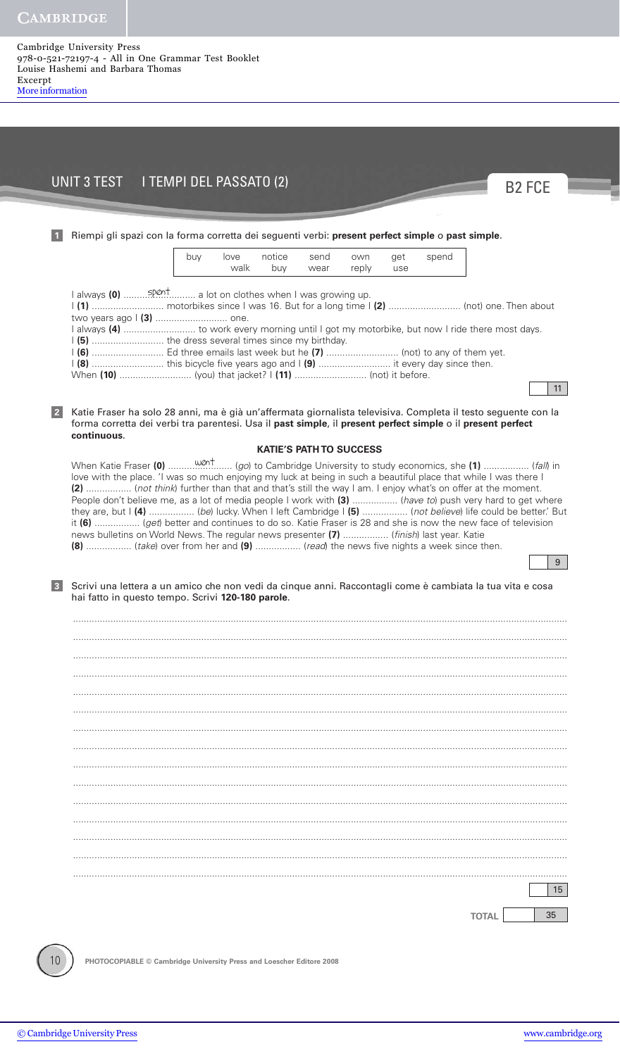#### Cambridge University Press 978-0-521-72197-4 - All in One Grammar Test Booklet Louise Hashemi and Barbara Thomas Excerpt [More information](http://www.cambridge.org/9780521721974)

# UNIT 3 TEST I TEMPI DEL PASSATO (2)



## Riempi gli spazi con la forma corretta dei seguenti verbi: **present perfect simple** o **past simple**. **1** spent I always **(0)** ........................... a lot on clothes when I was growing up. I **(1)** ........................... motorbikes since I was 16. But for a long time I **(2)** ........................... (not) one. Then about two years ago I **(3)** ........................... one. I always **(4)** ........................... to work every morning until I got my motorbike, but now I ride there most days. I **(5)** ........................... the dress several times since my birthday. I **(6)** ........................... Ed three emails last week but he **(7)** ........................... (not) to any of them yet. I **(8)** ........................... this bicycle five years ago and I **(9)** ........................... it every day since then. When **(10)** ........................... (you) that jacket? I **(11)** ........................... (not) it before. Katie Fraser ha solo 28 anni, ma è già un'affermata giornalista televisiva. Completa il testo seguente con la **2** forma corretta dei verbi tra parentesi. Usa il **past simple**, il **present perfect simple** o il **present perfect continuous**. **KATIE'S PATH TO SUCCESS** When Katie Fraser went **(0)** ........................ (go) to Cambridge University to study economics, she **(1)** ................. (fall) in love with the place. 'I was so much enjoying my luck at being in such a beautiful place that while I was there I **(2)** ................. (not think) further than that and that's still the way I am. I enjoy what's on offer at the moment. People don't believe me, as a lot of media people I work with **(3)** ................. (have to) push very hard to get where they are, but I **(4)** ................. (be) lucky. When I left Cambridge I **(5)** ................. (not believe) life could be better.' But it **(6)** ................. (get) better and continues to do so. Katie Fraser is 28 and she is now the new face of television news bulletins on World News. The regular news presenter **(7)** ................. (finish) last year. Katie **(8)** ................. (take) over from her and **(9)** ................. (read) the news five nights a week since then. Scrivi una lettera a un amico che non vedi da cinque anni. Raccontagli come è cambiata la tua vita e cosa hai fatto in questo tempo. Scrivi **120-180 parole**. ......................................................................................................................................................................................... ......................................................................................................................................................................................... ......................................................................................................................................................................................... ......................................................................................................................................................................................... ......................................................................................................................................................................................... ......................................................................................................................................................................................... ......................................................................................................................................................................................... ......................................................................................................................................................................................... ......................................................................................................................................................................................... ......................................................................................................................................................................................... ......................................................................................................................................................................................... ......................................................................................................................................................................................... ......................................................................................................................................................................................... ......................................................................................................................................................................................... ......................................................................................................................................................................................... **TOTAL** 35 15 **3** 9 11 buy love notice send own get spend walk buy wear reply use

**PHOTOCOPIABLE © Cambridge University Press and Loescher Editore 2008**

10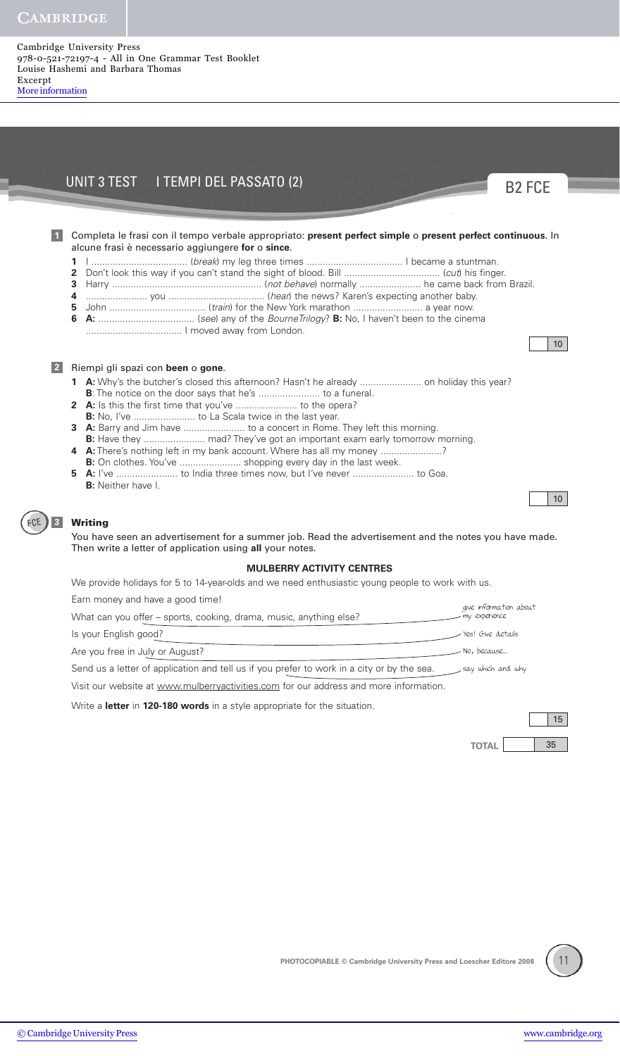#### Cambridge University Press 978-0-521-72197-4 - All in One Grammar Test Booklet Louise Hashemi and Barbara Thomas Excerpt [More information](http://www.cambridge.org/9780521721974)

# UNIT 3 TEST I TEMPI DEL PASSATO (2)

Completa le frasi con il tempo verbale appropriato: **present perfect simple** o **present perfect continuous**. In **1** alcune frasi è necessario aggiungere **for** o **since**.

- **1** I .................................... (break) my leg three times .................................... I became a stuntman.
- **2** Don't look this way if you can't stand the sight of blood. Bill .................................... (cut) his finger.
- **3** Harry ........................................................ (not behave) normally ....................... he came back from Brazil.
- **4** ....................... you .................................... (hear) the news? Karen's expecting another baby.
- **5** John .................................... (train) for the New York marathon .......................... a year now.
- **6 A:** .................................... (see) any of the BourneTrilogy? **B:** No, I haven't been to the cinema .................................... I moved away from London.



B2 FCE

10

|  | 2 Riempi gli spazi con been o gone. |  |  |  |  |  |  |
|--|-------------------------------------|--|--|--|--|--|--|
|--|-------------------------------------|--|--|--|--|--|--|

- **1 A:** Why's the butcher's closed this afternoon? Hasn't he already ........................... on holiday this year?
- **B**: The notice on the door says that he's .......................... to a funeral.
- **2 A:** Is this the first time that you've ....................... to the opera?
- **B:** No, I've ....................... to La Scala twice in the last year.
- **3** A: Barry and Jim have .......................... to a concert in Rome. They left this morning.
- **B:** Have they ....................... mad? They've got an important exam early tomorrow morning.
- **4 A:** There's nothing left in my bank account. Where has all my money .....................?
- **B:** On clothes. You've ............................ shopping every day in the last week.
- **5 A:** I've ....................... to India three times now, but I've never ....................... to Goa. **B:** Neither have I.

## **3**

 $-CE$ 

**Writing**

You have seen an advertisement for a summer job. Read the advertisement and the notes you have made. Then write a letter of application using **all** your notes.

### **MULBERRY ACTIVITY CENTRES**

We provide holidays for 5 to 14-year-olds and we need enthusiastic young people to work with us.

Earn money and have a good time!

| Editi inditey drig have a good time!                                                       | give information about |
|--------------------------------------------------------------------------------------------|------------------------|
| What can you offer – sports, cooking, drama, music, anything else?                         | mv experience          |
| Is your English good?                                                                      | Yes! Give details      |
| Are you free in July or August?                                                            | No, because            |
| Send us a letter of application and tell us if you prefer to work in a city or by the sea. | say which and why      |

Visit our website at www.mulberryactivities.com for our address and more information.

Write a **letter** in **120-180 words** in a style appropriate for the situation.

15

**TOTAL** 35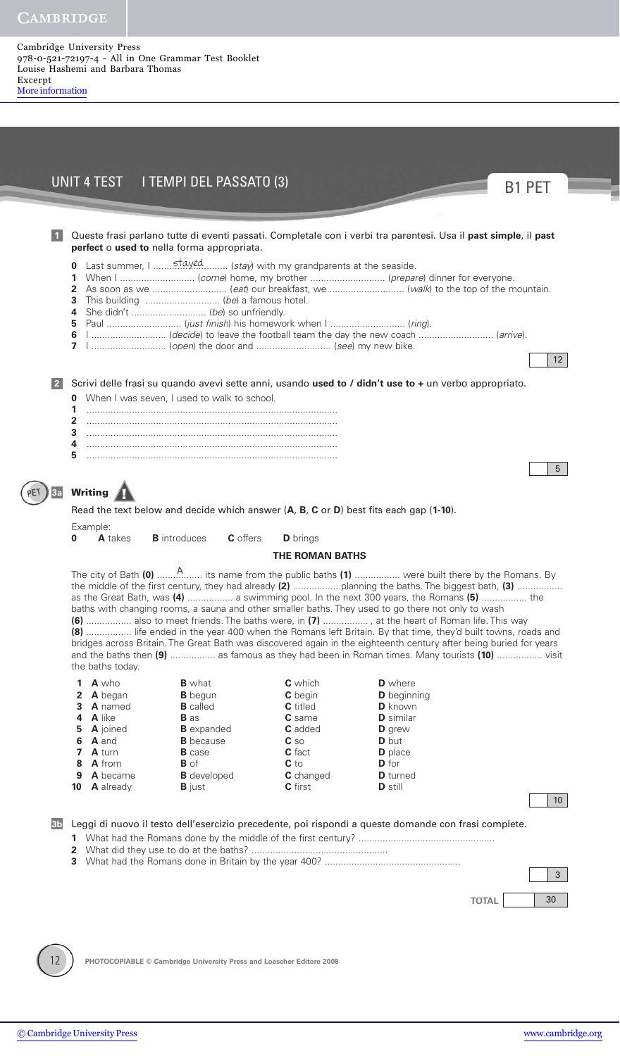Cambridge University Press 978-0-521-72197-4 - All in One Grammar Test Booklet Louise Hashemi and Barbara Thomas Excerpt [More information](http://www.cambridge.org/9780521721974)

|                |                            |                                  | perfect o used to nella forma appropriata.                          |                                 | Queste frasi parlano tutte di eventi passati. Completale con i verbi tra parentesi. Usa il past simple, il past                                                                                                                                                                                                                                                                                                                                                                                                                                                                                                                                                                                                                  |                 |
|----------------|----------------------------|----------------------------------|---------------------------------------------------------------------|---------------------------------|----------------------------------------------------------------------------------------------------------------------------------------------------------------------------------------------------------------------------------------------------------------------------------------------------------------------------------------------------------------------------------------------------------------------------------------------------------------------------------------------------------------------------------------------------------------------------------------------------------------------------------------------------------------------------------------------------------------------------------|-----------------|
|                | 2<br>3<br>4<br>5<br>6<br>7 |                                  | Last summer, I  stayed  (stay) with my grandparents at the seaside. |                                 | 1 (decide) to leave the football team the day the new coach  (arrive).                                                                                                                                                                                                                                                                                                                                                                                                                                                                                                                                                                                                                                                           | 12              |
|                |                            |                                  |                                                                     |                                 | Scrivi delle frasi su quando avevi sette anni, usando used to / didn't use to + un verbo appropriato.                                                                                                                                                                                                                                                                                                                                                                                                                                                                                                                                                                                                                            |                 |
|                | 1                          |                                  | <b>0</b> When I was seven, I used to walk to school.                |                                 |                                                                                                                                                                                                                                                                                                                                                                                                                                                                                                                                                                                                                                                                                                                                  |                 |
|                | 2<br>3                     |                                  |                                                                     |                                 |                                                                                                                                                                                                                                                                                                                                                                                                                                                                                                                                                                                                                                                                                                                                  |                 |
|                | 4<br>5                     |                                  |                                                                     |                                 |                                                                                                                                                                                                                                                                                                                                                                                                                                                                                                                                                                                                                                                                                                                                  |                 |
|                |                            |                                  |                                                                     |                                 |                                                                                                                                                                                                                                                                                                                                                                                                                                                                                                                                                                                                                                                                                                                                  | 5 <sup>5</sup>  |
|                |                            | Writing                          |                                                                     |                                 |                                                                                                                                                                                                                                                                                                                                                                                                                                                                                                                                                                                                                                                                                                                                  |                 |
|                |                            |                                  |                                                                     |                                 | Read the text below and decide which answer (A, B, C or D) best fits each gap (1-10).                                                                                                                                                                                                                                                                                                                                                                                                                                                                                                                                                                                                                                            |                 |
|                | 0                          | Example:<br>A takes              | <b>B</b> introduces<br>C offers                                     | <b>D</b> brings                 |                                                                                                                                                                                                                                                                                                                                                                                                                                                                                                                                                                                                                                                                                                                                  |                 |
|                |                            |                                  |                                                                     |                                 |                                                                                                                                                                                                                                                                                                                                                                                                                                                                                                                                                                                                                                                                                                                                  |                 |
|                |                            |                                  |                                                                     | <b>THE ROMAN BATHS</b>          | The city of Bath (0) $\ldots$ $\ldots$ $\ldots$ its name from the public baths (1) $\ldots$ $\ldots$ were built there by the Romans. By                                                                                                                                                                                                                                                                                                                                                                                                                                                                                                                                                                                          |                 |
|                |                            | the baths today.                 |                                                                     |                                 | the middle of the first century, they had already (2)  planning the baths. The biggest bath, (3)<br>as the Great Bath, was (4)  a swimming pool. In the next 300 years, the Romans (5)  the<br>baths with changing rooms, a sauna and other smaller baths. They used to go there not only to wash<br>(6)  also to meet friends. The baths were, in (7) , at the heart of Roman life. This way<br>(8)  life ended in the year 400 when the Romans left Britain. By that time, they'd built towns, roads and<br>bridges across Britain. The Great Bath was discovered again in the eighteenth century after being buried for years<br>and the baths then (9)  as famous as they had been in Roman times. Many tourists (10)  visit |                 |
|                | 1.<br>2                    | A who<br><b>A</b> began          | <b>B</b> what<br><b>B</b> begun                                     | <b>C</b> which<br>C begin       | <b>D</b> where<br><b>D</b> beginning                                                                                                                                                                                                                                                                                                                                                                                                                                                                                                                                                                                                                                                                                             |                 |
|                | 3                          | <b>A</b> named                   | <b>B</b> called                                                     | <b>C</b> titled                 | <b>D</b> known                                                                                                                                                                                                                                                                                                                                                                                                                                                                                                                                                                                                                                                                                                                   |                 |
|                | 4<br>5                     | <b>A</b> like<br><b>A</b> joined | <b>B</b> as<br><b>B</b> expanded                                    | <b>C</b> same<br><b>C</b> added | <b>D</b> similar<br>D grew                                                                                                                                                                                                                                                                                                                                                                                                                                                                                                                                                                                                                                                                                                       |                 |
|                | 6<br>7                     | A and<br><b>A</b> turn           | <b>B</b> because<br><b>B</b> case                                   | $c_{\rm so}$<br>C fact          | <b>D</b> but<br><b>D</b> place                                                                                                                                                                                                                                                                                                                                                                                                                                                                                                                                                                                                                                                                                                   |                 |
|                | 8<br>9                     | A from<br>A became               | <b>B</b> of                                                         | $C$ to                          | <b>D</b> for<br><b>D</b> turned                                                                                                                                                                                                                                                                                                                                                                                                                                                                                                                                                                                                                                                                                                  |                 |
|                | 10                         | <b>A</b> already                 | <b>B</b> developed<br><b>B</b> just                                 | C changed<br><b>C</b> first     | <b>D</b> still                                                                                                                                                                                                                                                                                                                                                                                                                                                                                                                                                                                                                                                                                                                   |                 |
|                |                            |                                  |                                                                     |                                 |                                                                                                                                                                                                                                                                                                                                                                                                                                                                                                                                                                                                                                                                                                                                  | 10 <sup>°</sup> |
| 3 <sub>b</sub> |                            |                                  |                                                                     |                                 | Leggi di nuovo il testo dell'esercizio precedente, poi rispondi a queste domande con frasi complete.                                                                                                                                                                                                                                                                                                                                                                                                                                                                                                                                                                                                                             |                 |
|                |                            |                                  |                                                                     |                                 |                                                                                                                                                                                                                                                                                                                                                                                                                                                                                                                                                                                                                                                                                                                                  | $\mathbf{3}$    |

¥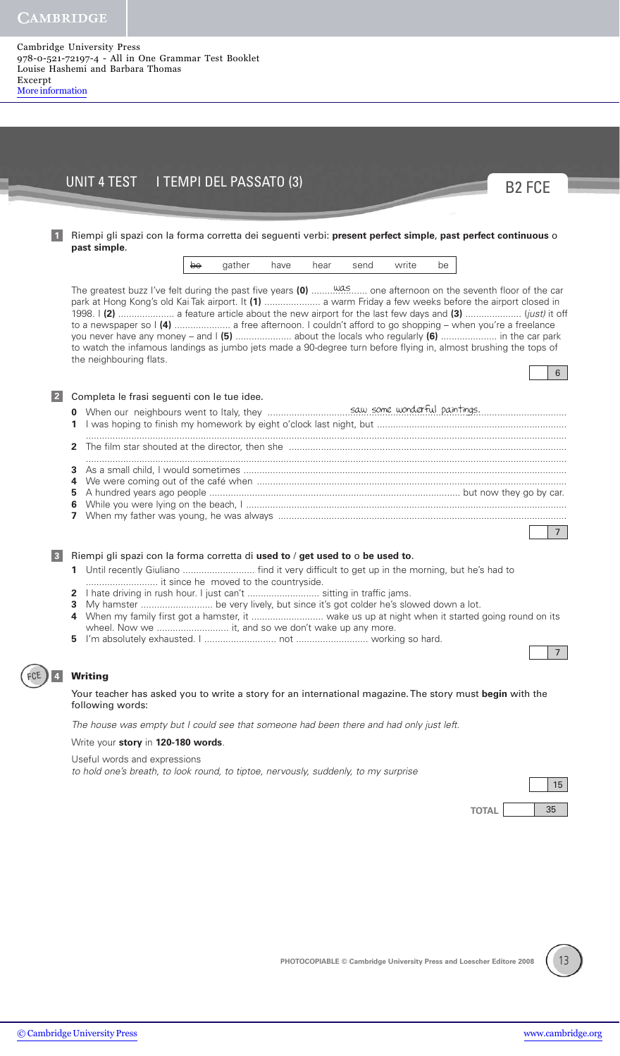**1**

#### Cambridge University Press 978-0-521-72197-4 - All in One Grammar Test Booklet Louise Hashemi and Barbara Thomas Excerpt [More information](http://www.cambridge.org/9780521721974)

## UNIT 4 TEST I TEMPI DEL PASSATO (3)

### Riempi gli spazi con la forma corretta dei seguenti verbi: **present perfect simple**, **past perfect continuous** o **past simple**.

<del>be</del> gather have hear send write be

was The greatest buzz I've felt during the past five years **(0)** ..................... one afternoon on the seventh floor of the car park at Hong Kong's old Kai Tak airport. It **(1)** ..................... a warm Friday a few weeks before the airport closed in 1998. I **(2)** ..................... a feature article about the new airport for the last few days and **(3)** ..................... (just) it off to a newspaper so I **(4)** ..................... a free afternoon. I couldn't afford to go shopping – when you're a freelance you never have any money – and I **(5)** ..................... about the locals who regularly **(6)** ..................... in the car park to watch the infamous landings as jumbo jets made a 90-degree turn before flying in, almost brushing the tops of the neighbouring flats.

### Completa le frasi seguenti con le tue idee. **2**

saw some wonderful paintings. **0** When our neighbours went to Italy, they ................................................................................................................ I was hoping to finish my homework by eight o'clock last night, but ....................................................................... .................................................................................................................................................................................... The film star shouted at the director, then she ........................................................................................................ .................................................................................................................................................................................... As a small child, I would sometimes ......................................................................................................................... We were coming out of the café when .................................................................................................................... A hundred years ago people .............................................................................................. but now they go by car. While you were lying on the beach, I ........................................................................................................................ When my father was young, he was always ............................................................................................................

Riempi gli spazi con la forma corretta di **used to** / **get used to** o **be used to**. **3**

- **1** Until recently Giuliano ........................... find it very difficult to get up in the morning, but he's had to ........................... it since he moved to the countryside.
- **2** I hate driving in rush hour. I just can't ........................... sitting in traffic jams.
- **3** My hamster ................................. be very lively, but since it's got colder he's slowed down a lot.
- **4** When my family first got a hamster, it ........................... wake us up at night when it started going round on its wheel. Now we ............................. it, and so we don't wake up any more.
- **5** I'm absolutely exhausted. I ........................... not ........................... working so hard.

#### **Writing**

**4**

#### Your teacher has asked you to write a story for an international magazine. The story must **begin** with the following words:

The house was empty but I could see that someone had been there and had only just left.

#### Write your **story** in **120-180 words**.

Useful words and expressions

to hold one's breath, to look round, to tiptoe, nervously, suddenly, to my surprise





7

7

6

B2 FCE

**PHOTOCOPIABLE © Cambridge University Press and Loescher Editore 2008**